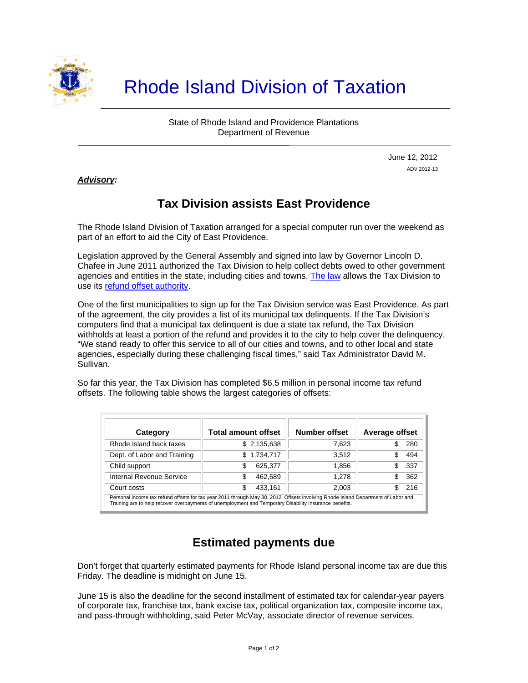

# Rhode Island Division of Taxation

State of Rhode Island and Providence Plantations Department of Revenue

> June 12, 2012 ADV 2012-13

*Advisory:* 

j

# **Tax Division assists East Providence**

The Rhode Island Division of Taxation arranged for a special computer run over the weekend as part of an effort to aid the City of East Providence.

Legislation approved by the General Assembly and signed into law by Governor Lincoln D. Chafee in June 2011 authorized the Tax Division to help collect debts owed to other government agencies and entities in the state, including cities and towns. [The law](http://www.rilin.state.ri.us/Statutes/TITLE42/42-142/42-142-7.HTM) allows the Tax Division to use its [refund offset authority](http://www.rilin.state.ri.us/Statutes/TITLE44/44-30.1/INDEX.HTM).

One of the first municipalities to sign up for the Tax Division service was East Providence. As part of the agreement, the city provides a list of its municipal tax delinquents. If the Tax Division's computers find that a municipal tax delinquent is due a state tax refund, the Tax Division withholds at least a portion of the refund and provides it to the city to help cover the delinquency. "We stand ready to offer this service to all of our cities and towns, and to other local and state agencies, especially during these challenging fiscal times," said Tax Administrator David M. Sullivan.

So far this year, the Tax Division has completed \$6.5 million in personal income tax refund offsets. The following table shows the largest categories of offsets:

| Category                                                                                                                                                                                                                                    | <b>Total amount offset</b> | Number offset | Average offset |
|---------------------------------------------------------------------------------------------------------------------------------------------------------------------------------------------------------------------------------------------|----------------------------|---------------|----------------|
| Rhode Island back taxes                                                                                                                                                                                                                     | \$2,135,638                | 7.623         | 280            |
| Dept. of Labor and Training                                                                                                                                                                                                                 | \$1,734,717                | 3.512         | 494            |
| Child support                                                                                                                                                                                                                               | 625.377                    | 1.856         | 337            |
| Internal Revenue Service                                                                                                                                                                                                                    | 462,589                    | 1.278         | 362            |
| Court costs                                                                                                                                                                                                                                 | 433.161                    | 2.003         | 216            |
| Personal income tax refund offsets for tax year 2011 through May 30, 2012. Offsets involving Rhode Island Department of Labor and<br>Training are to help recover overpayments of unemployment and Temporary Disability Insurance benefits. |                            |               |                |

# **Estimated payments due**

Don't forget that quarterly estimated payments for Rhode Island personal income tax are due this Friday. The deadline is midnight on June 15.

June 15 is also the deadline for the second installment of estimated tax for calendar-year payers of corporate tax, franchise tax, bank excise tax, political organization tax, composite income tax, and pass-through withholding, said Peter McVay, associate director of revenue services.